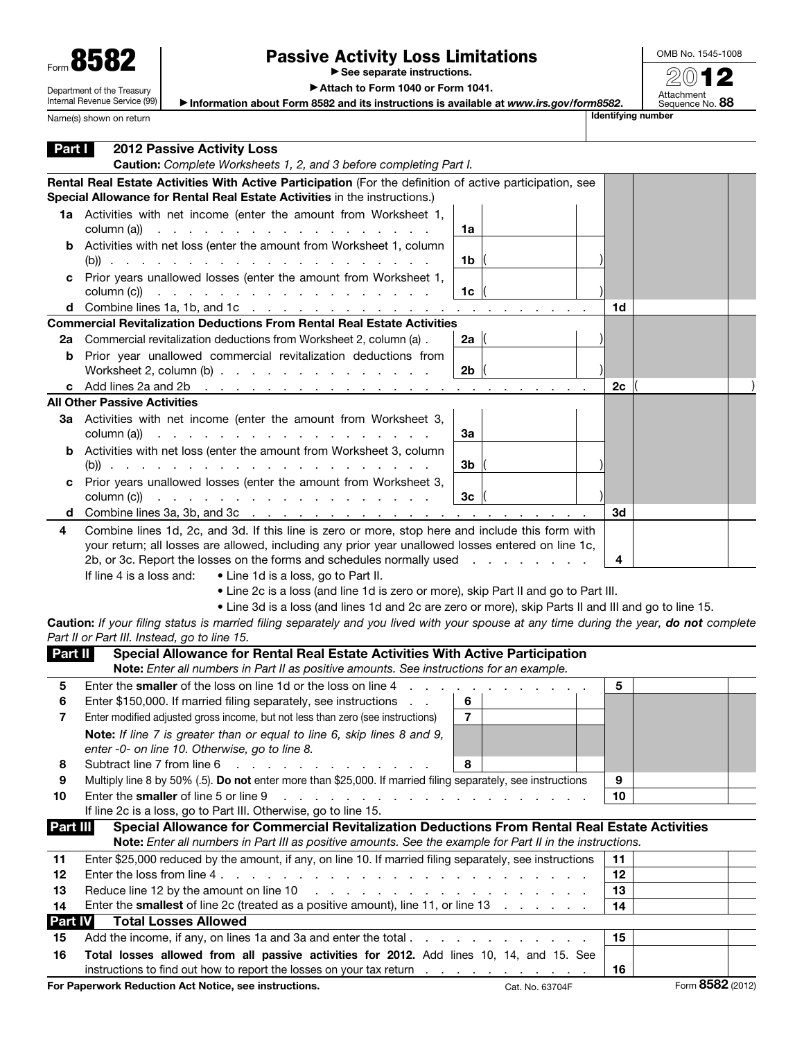| Form 858                   |
|----------------------------|
| Department of the Treasury |

Internal Revenue Service (99)

Name(s) shown on return

## Passive Activity Loss Limitations

▶ See separate instructions.

OMB No. 1545-1008 2012

Attachment<br>Sequence No. **88** 

▶ Attach to Form 1040 or Form 1041.

▶ Information about Form 8582 and its instructions is available at *www.irs.gov/form8582*.

| Part I   | <b>2012 Passive Activity Loss</b><br>Caution: Complete Worksheets 1, 2, and 3 before completing Part I.                                                                                                                                                                                                                                                                                                                                                                                                                                                              |    |                  |
|----------|----------------------------------------------------------------------------------------------------------------------------------------------------------------------------------------------------------------------------------------------------------------------------------------------------------------------------------------------------------------------------------------------------------------------------------------------------------------------------------------------------------------------------------------------------------------------|----|------------------|
|          | Rental Real Estate Activities With Active Participation (For the definition of active participation, see<br>Special Allowance for Rental Real Estate Activities in the instructions.)                                                                                                                                                                                                                                                                                                                                                                                |    |                  |
|          | 1a Activities with net income (enter the amount from Worksheet 1,<br>column (a))<br>1a                                                                                                                                                                                                                                                                                                                                                                                                                                                                               |    |                  |
|          | <b>b</b> Activities with net loss (enter the amount from Worksheet 1, column<br>1b                                                                                                                                                                                                                                                                                                                                                                                                                                                                                   |    |                  |
|          | c Prior years unallowed losses (enter the amount from Worksheet 1,<br>column (c))<br>1 <sub>c</sub><br>the second contract of the second contract of the second contract of                                                                                                                                                                                                                                                                                                                                                                                          |    |                  |
|          | <b>d</b> Combine lines 1a, 1b, and 1c $\ldots$ $\ldots$ $\ldots$ $\ldots$ $\ldots$ $\ldots$<br>the contract of the                                                                                                                                                                                                                                                                                                                                                                                                                                                   | 1d |                  |
|          | <b>Commercial Revitalization Deductions From Rental Real Estate Activities</b>                                                                                                                                                                                                                                                                                                                                                                                                                                                                                       |    |                  |
| 2а       | Commercial revitalization deductions from Worksheet 2, column (a).<br>2a                                                                                                                                                                                                                                                                                                                                                                                                                                                                                             |    |                  |
| b        | Prior year unallowed commercial revitalization deductions from<br>2 <sub>b</sub><br>Worksheet 2, column $(b)$                                                                                                                                                                                                                                                                                                                                                                                                                                                        |    |                  |
|          | c Add lines 2a and 2b<br>the contract of the con-<br><b>Contract</b>                                                                                                                                                                                                                                                                                                                                                                                                                                                                                                 | 2с |                  |
|          | <b>All Other Passive Activities</b>                                                                                                                                                                                                                                                                                                                                                                                                                                                                                                                                  |    |                  |
|          | 3a Activities with net income (enter the amount from Worksheet 3,<br>За<br>column (a))<br>the contract of the contract of the<br>the contract of the contract of the                                                                                                                                                                                                                                                                                                                                                                                                 |    |                  |
|          | <b>b</b> Activities with net loss (enter the amount from Worksheet 3, column<br>3b                                                                                                                                                                                                                                                                                                                                                                                                                                                                                   |    |                  |
|          | c Prior years unallowed losses (enter the amount from Worksheet 3,<br>3 <sub>c</sub><br>column (c))<br>and a series and a series are a series as a series and                                                                                                                                                                                                                                                                                                                                                                                                        |    |                  |
| d        |                                                                                                                                                                                                                                                                                                                                                                                                                                                                                                                                                                      | 3d |                  |
| 4        | Combine lines 1d, 2c, and 3d. If this line is zero or more, stop here and include this form with<br>your return; all losses are allowed, including any prior year unallowed losses entered on line 1c,<br>2b, or 3c. Report the losses on the forms and schedules normally used<br>and the control<br>If line 4 is a loss and:<br>• Line 1d is a loss, go to Part II.<br>• Line 2c is a loss (and line 1d is zero or more), skip Part II and go to Part III.<br>• Line 3d is a loss (and lines 1d and 2c are zero or more), skip Parts II and III and go to line 15. | 4  |                  |
|          | Caution: If your filing status is married filing separately and you lived with your spouse at any time during the year, do not complete<br>Part II or Part III. Instead, go to line 15.                                                                                                                                                                                                                                                                                                                                                                              |    |                  |
| Part II  | Special Allowance for Rental Real Estate Activities With Active Participation                                                                                                                                                                                                                                                                                                                                                                                                                                                                                        |    |                  |
|          | Note: Enter all numbers in Part II as positive amounts. See instructions for an example.                                                                                                                                                                                                                                                                                                                                                                                                                                                                             |    |                  |
| 5        | Enter the smaller of the loss on line 1d or the loss on line 4                                                                                                                                                                                                                                                                                                                                                                                                                                                                                                       | 5  |                  |
| 6        | Enter \$150,000. If married filing separately, see instructions<br>6                                                                                                                                                                                                                                                                                                                                                                                                                                                                                                 |    |                  |
| 7        | $\overline{7}$<br>Enter modified adjusted gross income, but not less than zero (see instructions)                                                                                                                                                                                                                                                                                                                                                                                                                                                                    |    |                  |
|          | Note: If line 7 is greater than or equal to line 6, skip lines 8 and 9,<br>enter -0- on line 10. Otherwise, go to line 8.                                                                                                                                                                                                                                                                                                                                                                                                                                            |    |                  |
| 8        | Subtract line 7 from line 6<br>8<br>and the contract of the contract of the                                                                                                                                                                                                                                                                                                                                                                                                                                                                                          |    |                  |
| 9        | Multiply line 8 by 50% (.5). Do not enter more than \$25,000. If married filing separately, see instructions                                                                                                                                                                                                                                                                                                                                                                                                                                                         | 9  |                  |
| 10       | Enter the smaller of line 5 or line 9<br>and a series of the contract of the contract of the con-                                                                                                                                                                                                                                                                                                                                                                                                                                                                    | 10 |                  |
| Part III | If line 2c is a loss, go to Part III. Otherwise, go to line 15.<br>Special Allowance for Commercial Revitalization Deductions From Rental Real Estate Activities                                                                                                                                                                                                                                                                                                                                                                                                     |    |                  |
|          | Note: Enter all numbers in Part III as positive amounts. See the example for Part II in the instructions.                                                                                                                                                                                                                                                                                                                                                                                                                                                            |    |                  |
| 11       | Enter \$25,000 reduced by the amount, if any, on line 10. If married filing separately, see instructions                                                                                                                                                                                                                                                                                                                                                                                                                                                             | 11 |                  |
| 12       |                                                                                                                                                                                                                                                                                                                                                                                                                                                                                                                                                                      | 12 |                  |
| 13       | Reduce line 12 by the amount on line 10<br>.                                                                                                                                                                                                                                                                                                                                                                                                                                                                                                                         | 13 |                  |
| 14       | Enter the <b>smallest</b> of line 2c (treated as a positive amount), line 11, or line 13                                                                                                                                                                                                                                                                                                                                                                                                                                                                             | 14 |                  |
| Part IV  | <b>Total Losses Allowed</b>                                                                                                                                                                                                                                                                                                                                                                                                                                                                                                                                          |    |                  |
| 15       |                                                                                                                                                                                                                                                                                                                                                                                                                                                                                                                                                                      | 15 |                  |
| 16       | Total losses allowed from all passive activities for 2012. Add lines 10, 14, and 15. See                                                                                                                                                                                                                                                                                                                                                                                                                                                                             |    |                  |
|          | instructions to find out how to report the losses on your tax return                                                                                                                                                                                                                                                                                                                                                                                                                                                                                                 | 16 |                  |
|          | For Paperwork Reduction Act Notice, see instructions.<br>Cat. No. 63704F                                                                                                                                                                                                                                                                                                                                                                                                                                                                                             |    | Form 8582 (2012) |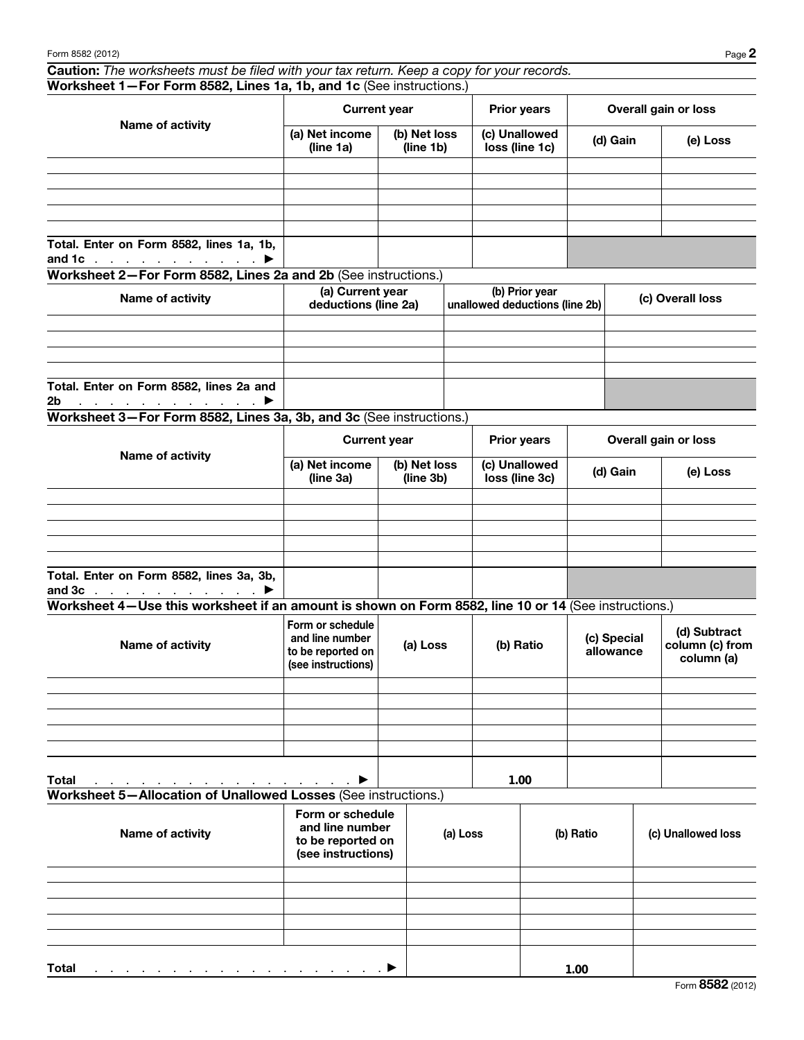Caution: *The worksheets must be filed with your tax return. Keep a copy for your records.* Worksheet 1—For Form 8582, Lines 1a, 1b, and 1c (See instructions.)

| Name of activity                                                                       |                             | <b>Current year</b>       | <b>Prior years</b>              | Overall gain or loss |          |  |
|----------------------------------------------------------------------------------------|-----------------------------|---------------------------|---------------------------------|----------------------|----------|--|
|                                                                                        | (a) Net income<br>(line 1a) | (b) Net loss<br>(line 1b) | (c) Unallowed<br>loss (line 1c) | (d) Gain             | (e) Loss |  |
|                                                                                        |                             |                           |                                 |                      |          |  |
|                                                                                        |                             |                           |                                 |                      |          |  |
|                                                                                        |                             |                           |                                 |                      |          |  |
|                                                                                        |                             |                           |                                 |                      |          |  |
|                                                                                        |                             |                           |                                 |                      |          |  |
| Total. Enter on Form 8582, lines 1a, 1b,<br>and 1c $\ldots$ $\ldots$ $\ldots$ $\ldots$ |                             |                           |                                 |                      |          |  |

Worksheet 2—For Form 8582, Lines 2a and 2b (See instructions.)

| Name of activity                                                                    | (a) Current year<br>deductions (line 2a) | (b) Prior year<br>unallowed deductions (line 2b) | (c) Overall loss |  |  |
|-------------------------------------------------------------------------------------|------------------------------------------|--------------------------------------------------|------------------|--|--|
|                                                                                     |                                          |                                                  |                  |  |  |
|                                                                                     |                                          |                                                  |                  |  |  |
|                                                                                     |                                          |                                                  |                  |  |  |
|                                                                                     |                                          |                                                  |                  |  |  |
| Total. Enter on Form 8582, lines 2a and                                             |                                          |                                                  |                  |  |  |
| 2 <sub>b</sub><br>$\ldots$ . The set of the set of the set of $\blacktriangleright$ |                                          |                                                  |                  |  |  |

Worksheet 3—For Form 8582, Lines 3a, 3b, and 3c (See instructions.)

| Name of activity                                                           | <b>Current year</b>         |                           | <b>Prior years</b>              | Overall gain or loss |          |  |
|----------------------------------------------------------------------------|-----------------------------|---------------------------|---------------------------------|----------------------|----------|--|
|                                                                            | (a) Net income<br>(line 3a) | (b) Net loss<br>(line 3b) | (c) Unallowed<br>loss (line 3c) | (d) Gain             | (e) Loss |  |
|                                                                            |                             |                           |                                 |                      |          |  |
|                                                                            |                             |                           |                                 |                      |          |  |
|                                                                            |                             |                           |                                 |                      |          |  |
|                                                                            |                             |                           |                                 |                      |          |  |
|                                                                            |                             |                           |                                 |                      |          |  |
| Total. Enter on Form 8582, lines 3a, 3b,<br>and $3c$ $\blacktriangleright$ |                             |                           |                                 |                      |          |  |

Worksheet 4—Use this worksheet if an amount is shown on Form 8582, line 10 or 14 (See instructions.)

| Name of activity                                                                    | Form or schedule<br>and line number<br>to be reported on<br>(see instructions) | (a) Loss | (b) Ratio | (c) Special<br>allowance | (d) Subtract<br>column (c) from<br>column (a) |
|-------------------------------------------------------------------------------------|--------------------------------------------------------------------------------|----------|-----------|--------------------------|-----------------------------------------------|
|                                                                                     |                                                                                |          |           |                          |                                               |
|                                                                                     |                                                                                |          |           |                          |                                               |
|                                                                                     |                                                                                |          |           |                          |                                               |
|                                                                                     |                                                                                |          |           |                          |                                               |
|                                                                                     |                                                                                |          |           |                          |                                               |
| <b>Total</b><br>and the contract of the contract of the contract of the contract of |                                                                                |          | 1.00      |                          |                                               |

```
Worksheet 5—Allocation of Unallowed Losses (See instructions.)
```

| Name of activity                                                                                     | Form or schedule<br>and line number<br>to be reported on<br>(see instructions) | (a) Loss | (b) Ratio | (c) Unallowed loss |
|------------------------------------------------------------------------------------------------------|--------------------------------------------------------------------------------|----------|-----------|--------------------|
|                                                                                                      |                                                                                |          |           |                    |
|                                                                                                      |                                                                                |          |           |                    |
|                                                                                                      |                                                                                |          |           |                    |
|                                                                                                      |                                                                                |          |           |                    |
|                                                                                                      |                                                                                |          |           |                    |
| <b>Total</b><br>. The contract of the contract of the contract of the contract $\blacktriangleright$ |                                                                                |          | 1.00      |                    |